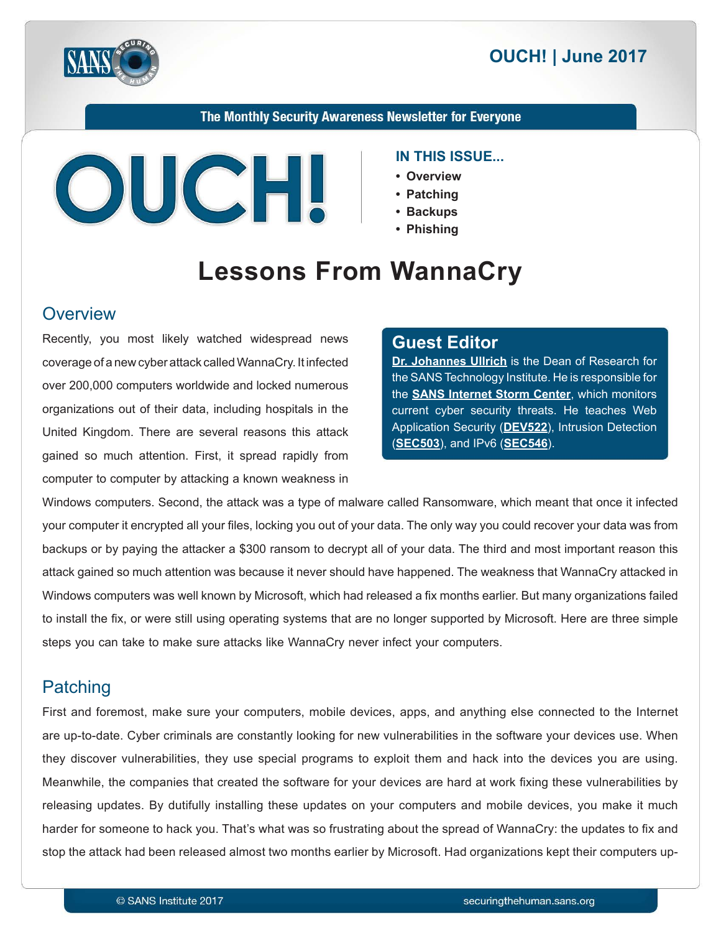



#### The Monthly Security Awareness Newsletter for Everyone



#### **IN THIS ISSUE...**

- **Overview•**
- **Patching•**
- **Backups•**
	- **Phishing•**

# **Lessons From WannaCry**

#### **Overview**

Recently, you most likely watched widespread news coverage of a new cyber attack called WannaCry. It infected over 200,000 computers worldwide and locked numerous organizations out of their data, including hospitals in the United Kingdom. There are several reasons this attack gained so much attention. First, it spread rapidly from computer to computer by attacking a known weakness in

#### **Editor Guest**

**Dr. Johannes Ullrich** is the Dean of Research for the SANS Technology Institute. He is responsible for the **SANS Internet Storm Center**, which monitors current cyber security threats. He teaches Web Application Security (DEV522), Intrusion Detection (**SEC503**), and IPv6 (**SEC546**).

Windows computers. Second, the attack was a type of malware called Ransomware, which meant that once it infected your computer it encrypted all your files, locking you out of your data. The only way you could recover your data was from backups or by paying the attacker a \$300 ransom to decrypt all of your data. The third and most important reason this attack gained so much attention was because it never should have happened. The weakness that WannaCry attacked in Windows computers was well known by Microsoft, which had released a fix months earlier. But many organizations failed to install the fix, or were still using operating systems that are no longer supported by Microsoft. Here are three simple steps you can take to make sure attacks like WannaCry never infect your computers.

## **Patching**

First and foremost, make sure your computers, mobile devices, apps, and anything else connected to the Internet are up-to-date. Cyber criminals are constantly looking for new vulnerabilities in the software your devices use. When they discover vulnerabilities, they use special programs to exploit them and hack into the devices you are using. Meanwhile, the companies that created the software for your devices are hard at work fixing these vulnerabilities by releasing updates. By dutifully installing these updates on your computers and mobile devices, you make it much harder for someone to hack you. That's what was so frustrating about the spread of WannaCry: the updates to fix and stop the attack had been released almost two months earlier by Microsoft. Had organizations kept their computers up-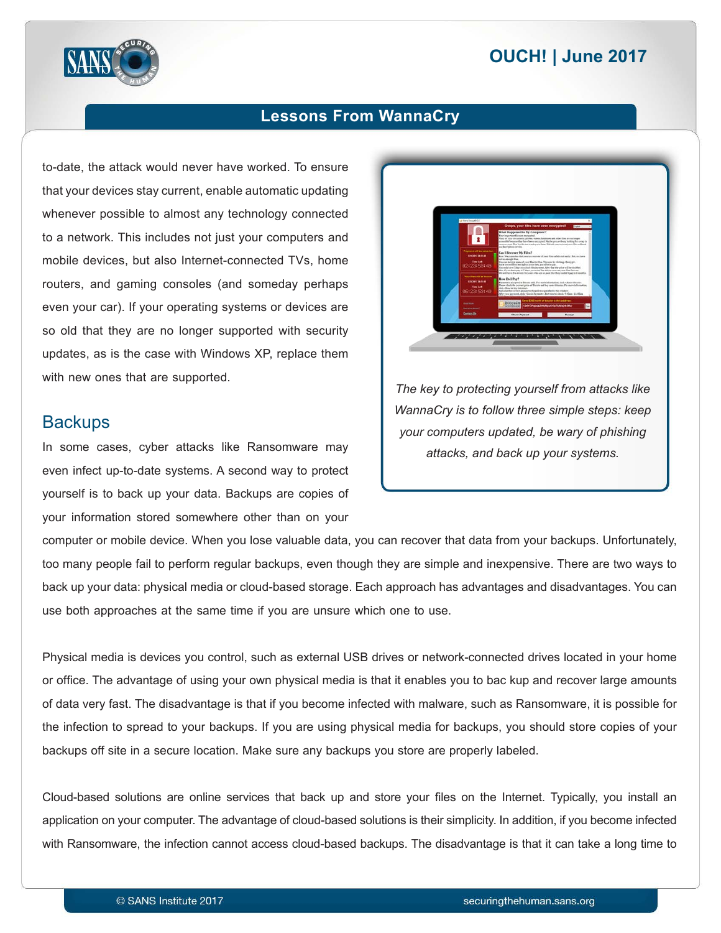# **2017 | OUCH! | June 2017**



## **Lessons From WannaCry**

to-date, the attack would never have worked. To ensure that your devices stay current, enable automatic updating whenever possible to almost any technology connected to a network. This includes not just your computers and mobile devices, but also Internet-connected TVs, home routers, and gaming consoles (and someday perhaps even your car). If your operating systems or devices are so old that they are no longer supported with security updates, as is the case with Windows XP, replace them with new ones that are supported.

#### **Backups**

In some cases, cyber attacks like Ransomware may even infect up-to-date systems. A second way to protect yourself is to back up your data. Backups are copies of your information stored somewhere other than on your



The key to protecting yourself from attacks like *WannaCry is to follow three simple steps: keep your computers updated, be wary of phishing* attacks, and back up your systems.

computer or mobile device. When you lose valuable data, you can recover that data from your backups. Unfortunately, too many people fail to perform regular backups, even though they are simple and inexpensive. There are two ways to back up your data: physical media or cloud-based storage. Each approach has advantages and disadvantages. You can use both approaches at the same time if you are unsure which one to use.

Physical media is devices you control, such as external USB drives or network-connected drives located in your home or office. The advantage of using your own physical media is that it enables you to bac kup and recover large amounts of data very fast. The disadvantage is that if you become infected with malware, such as Ransomware, it is possible for the infection to spread to your backups. If you are using physical media for backups, you should store copies of your backups off site in a secure location. Make sure any backups you store are properly labeled.

Cloud-based solutions are online services that back up and store your files on the Internet. Typically, you install an application on your computer. The advantage of cloud-based solutions is their simplicity. In addition, if you become infected with Ransomware, the infection cannot access cloud-based backups. The disadvantage is that it can take a long time to